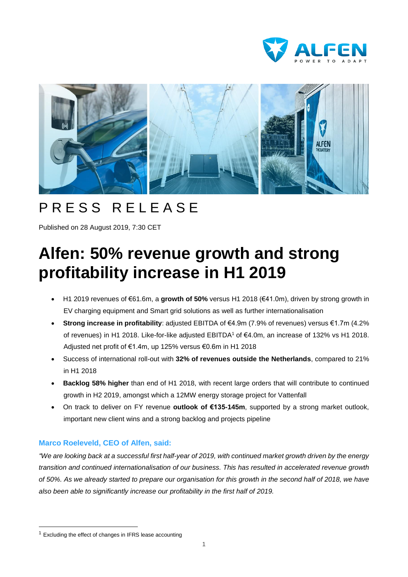



## PRESS RELEASE

Published on 28 August 2019, 7:30 CET

# **Alfen: 50% revenue growth and strong profitability increase in H1 2019**

- H1 2019 revenues of €61.6m, a **growth of 50%** versus H1 2018 (€41.0m), driven by strong growth in EV charging equipment and Smart grid solutions as well as further internationalisation
- **Strong increase in profitability**: adjusted EBITDA of €4.9m (7.9% of revenues) versus €1.7m (4.2% of revenues) in H1 2018. Like-for-like adjusted EBITDA<sup>1</sup> of €4.0m, an increase of 132% vs H1 2018. Adjusted net profit of €1.4m, up 125% versus €0.6m in H1 2018
- Success of international roll-out with **32% of revenues outside the Netherlands**, compared to 21% in H1 2018
- **Backlog 58% higher** than end of H1 2018, with recent large orders that will contribute to continued growth in H2 2019, amongst which a 12MW energy storage project for Vattenfall
- On track to deliver on FY revenue **outlook of €135-145m**, supported by a strong market outlook, important new client wins and a strong backlog and projects pipeline

### **Marco Roeleveld, CEO of Alfen, said:**

"We are looking back at a successful first half-year of 2019, with continued market growth driven by the energy *transition and continued internationalisation of our business. This has resulted in accelerated revenue growth* of 50%. As we already started to prepare our organisation for this growth in the second half of 2018, we have *also been able to significantly increase our profitability in the first half of 2019.*

 $1$  Excluding the effect of changes in IFRS lease accounting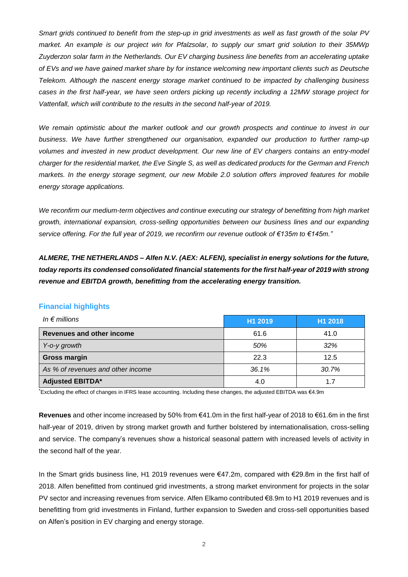Smart grids continued to benefit from the step-up in grid investments as well as fast growth of the solar PV market. An example is our project win for Pfalzsolar, to supply our smart grid solution to their 35MWp *Zuyderzon solar farm in the Netherlands. Our EV charging business line benefits from an accelerating uptake* of EVs and we have gained market share by for instance welcoming new important clients such as Deutsche *Telekom. Although the nascent energy storage market continued to be impacted by challenging business* cases in the first half-year, we have seen orders picking up recently including a 12MW storage project for *Vattenfall, which will contribute to the results in the second half-year of 2019.*

*We remain optimistic about the market outlook and our growth prospects and continue to invest in our business. We have further strengthened our organisation, expanded our production to further ramp-up volumes and invested in new product development. Our new line of EV chargers contains an entry-model* charger for the residential market, the Eve Single S, as well as dedicated products for the German and French *markets. In the energy storage segment, our new Mobile 2.0 solution offers improved features for mobile energy storage applications.*

*We reconfirm our medium-term objectives and continue executing our strategy of benefitting from high market growth, international expansion, cross-selling opportunities between our business lines and our expanding service offering. For the full year of 2019, we reconfirm our revenue outlook of €135m to €145m."*

*ALMERE, THE NETHERLANDS – Alfen N.V. (AEX: ALFEN), specialist in energy solutions for the future, today reports its condensed consolidated financial statements for the first half-year of 2019 with strong revenue and EBITDA growth, benefitting from the accelerating energy transition.*

| <b>Financial highlights</b> |  |  |  |  |  |
|-----------------------------|--|--|--|--|--|
|-----------------------------|--|--|--|--|--|

| In $\epsilon$ millions            | H1 2019 | H1 2018 |  |  |
|-----------------------------------|---------|---------|--|--|
| Revenues and other income         | 61.6    | 41.0    |  |  |
| Y-o-y growth                      | 50%     | 32%     |  |  |
| <b>Gross margin</b>               | 22.3    | 12.5    |  |  |
| As % of revenues and other income | 36.1%   | 30.7%   |  |  |
| <b>Adjusted EBITDA*</b>           | 4.0     |         |  |  |

\*Excluding the effect of changes in IFRS lease accounting. Including these changes, the adjusted EBITDA was €4.9m

**Revenues** and other income increased by 50% from €41.0m in the first half-year of 2018 to €61.6m in the first half-year of 2019, driven by strong market growth and further bolstered by internationalisation, cross-selling and service. The company's revenues show a historical seasonal pattern with increased levels of activity in the second half of the year.

In the Smart grids business line, H1 2019 revenues were €47.2m, compared with €29.8m in the first half of 2018. Alfen benefitted from continued grid investments, a strong market environment for projects in the solar PV sector and increasing revenues from service. Alfen Elkamo contributed €8.9m to H1 2019 revenues and is benefitting from grid investments in Finland, further expansion to Sweden and cross-sell opportunities based on Alfen's position in EV charging and energy storage.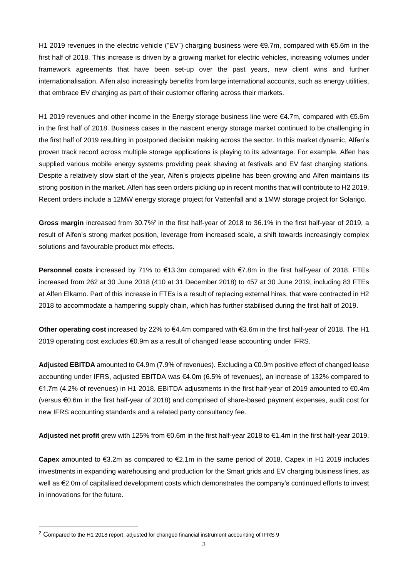H1 2019 revenues in the electric vehicle ("EV") charging business were €9.7m, compared with €5.6m in the first half of 2018. This increase is driven by a growing market for electric vehicles, increasing volumes under framework agreements that have been set-up over the past years, new client wins and further internationalisation. Alfen also increasingly benefits from large international accounts, such as energy utilities, that embrace EV charging as part of their customer offering across their markets.

H1 2019 revenues and other income in the Energy storage business line were €4.7m, compared with €5.6m in the first half of 2018. Business cases in the nascent energy storage market continued to be challenging in the first half of 2019 resulting in postponed decision making across the sector. In this market dynamic, Alfen's proven track record across multiple storage applications is playing to its advantage. For example, Alfen has supplied various mobile energy systems providing peak shaving at festivals and EV fast charging stations. Despite a relatively slow start of the year, Alfen's projects pipeline has been growing and Alfen maintains its strong position in the market. Alfen has seen orders picking up in recent months that will contribute to H2 2019. Recent orders include a 12MW energy storage project for Vattenfall and a 1MW storage project for Solarigo.

**Gross margin** increased from 30.7%<sup>2</sup> in the first half-year of 2018 to 36.1% in the first half-year of 2019, a result of Alfen's strong market position, leverage from increased scale, a shift towards increasingly complex solutions and favourable product mix effects.

**Personnel costs** increased by 71% to €13.3m compared with €7.8m in the first half-year of 2018. FTEs increased from 262 at 30 June 2018 (410 at 31 December 2018) to 457 at 30 June 2019, including 83 FTEs at Alfen Elkamo. Part of this increase in FTEs is a result of replacing external hires, that were contracted in H2 2018 to accommodate a hampering supply chain, which has further stabilised during the first half of 2019.

**Other operating cost** increased by 22% to €4.4m compared with €3.6m in the first half-year of 2018. The H1 2019 operating cost excludes €0.9m as a result of changed lease accounting under IFRS.

**Adjusted EBITDA** amounted to €4.9m (7.9% of revenues). Excluding a €0.9m positive effect of changed lease accounting under IFRS, adjusted EBITDA was €4.0m (6.5% of revenues), an increase of 132% compared to €1.7m (4.2% of revenues) in H1 2018. EBITDA adjustments in the first half-year of 2019 amounted to €0.4m (versus €0.6m in the first half-year of 2018) and comprised of share-based payment expenses, audit cost for new IFRS accounting standards and a related party consultancy fee.

**Adjusted net profit** grew with 125% from €0.6m in the first half-year 2018 to €1.4m in the first half-year 2019.

**Capex** amounted to €3.2m as compared to €2.1m in the same period of 2018. Capex in H1 2019 includes investments in expanding warehousing and production for the Smart grids and EV charging business lines, as well as €2.0m of capitalised development costs which demonstrates the company's continued efforts to invest in innovations for the future.

<sup>&</sup>lt;sup>2</sup> Compared to the H1 2018 report, adjusted for changed financial instrument accounting of IFRS 9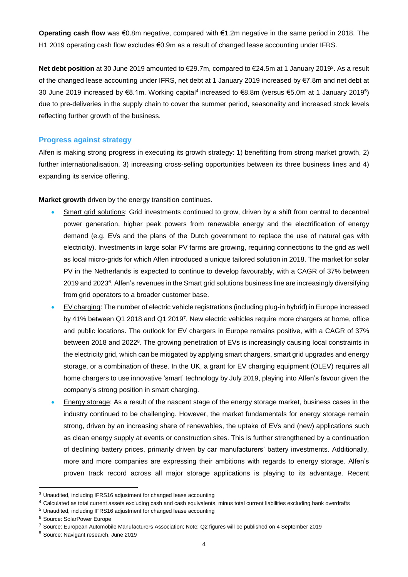**Operating cash flow** was €0.8m negative, compared with €1.2m negative in the same period in 2018. The H1 2019 operating cash flow excludes €0.9m as a result of changed lease accounting under IFRS.

**Net debt position** at 30 June 2019 amounted to €29.7m, compared to €24.5m at 1 January 2019<sup>3</sup> . As a result of the changed lease accounting under IFRS, net debt at 1 January 2019 increased by €7.8m and net debt at 30 June 2019 increased by €8.1m. Working capital<sup>4</sup> increased to €8.8m (versus €5.0m at 1 January 2019<sup>5</sup> ) due to pre-deliveries in the supply chain to cover the summer period, seasonality and increased stock levels reflecting further growth of the business.

#### **Progress against strategy**

Alfen is making strong progress in executing its growth strategy: 1) benefitting from strong market growth, 2) further internationalisation, 3) increasing cross-selling opportunities between its three business lines and 4) expanding its service offering.

**Market growth** driven by the energy transition continues.

- Smart grid solutions: Grid investments continued to grow, driven by a shift from central to decentral power generation, higher peak powers from renewable energy and the electrification of energy demand (e.g. EVs and the plans of the Dutch government to replace the use of natural gas with electricity). Investments in large solar PV farms are growing, requiring connections to the grid as well as local micro-grids for which Alfen introduced a unique tailored solution in 2018. The market for solar PV in the Netherlands is expected to continue to develop favourably, with a CAGR of 37% between 2019 and 2023<sup>6</sup>. Alfen's revenues in the Smart grid solutions business line are increasingly diversifying from grid operators to a broader customer base.
- EV charging: The number of electric vehicle registrations (including plug-in hybrid) in Europe increased by 41% between Q1 2018 and Q1 2019 7 . New electric vehicles require more chargers at home, office and public locations. The outlook for EV chargers in Europe remains positive, with a CAGR of 37% between 2018 and 2022<sup>8</sup>. The growing penetration of EVs is increasingly causing local constraints in the electricity grid, which can be mitigated by applying smart chargers, smart grid upgrades and energy storage, or a combination of these. In the UK, a grant for EV charging equipment (OLEV) requires all home chargers to use innovative 'smart' technology by July 2019, playing into Alfen's favour given the company's strong position in smart charging.
- Energy storage: As a result of the nascent stage of the energy storage market, business cases in the industry continued to be challenging. However, the market fundamentals for energy storage remain strong, driven by an increasing share of renewables, the uptake of EVs and (new) applications such as clean energy supply at events or construction sites. This is further strengthened by a continuation of declining battery prices, primarily driven by car manufacturers' battery investments. Additionally, more and more companies are expressing their ambitions with regards to energy storage. Alfen's proven track record across all major storage applications is playing to its advantage. Recent

 $\overline{a}$ 

<sup>3</sup> Unaudited, including IFRS16 adjustment for changed lease accounting

<sup>&</sup>lt;sup>4</sup> Calculated as total current assets excluding cash and cash equivalents, minus total current liabilities excluding bank overdrafts

<sup>5</sup> Unaudited, including IFRS16 adjustment for changed lease accounting

<sup>6</sup> Source: SolarPower Europe

<sup>7</sup> Source: European Automobile Manufacturers Association; Note: Q2 figures will be published on 4 September 2019

<sup>8</sup> Source: Navigant research, June 2019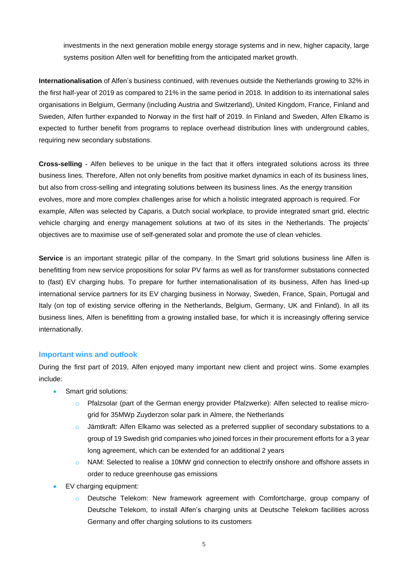investments in the next generation mobile energy storage systems and in new, higher capacity, large systems position Alfen well for benefitting from the anticipated market growth.

**Internationalisation** of Alfen's business continued, with revenues outside the Netherlands growing to 32% in the first half-year of 2019 as compared to 21% in the same period in 2018. In addition to its international sales organisations in Belgium, Germany (including Austria and Switzerland), United Kingdom, France, Finland and Sweden, Alfen further expanded to Norway in the first half of 2019. In Finland and Sweden, Alfen Elkamo is expected to further benefit from programs to replace overhead distribution lines with underground cables, requiring new secondary substations.

**Cross-selling** - Alfen believes to be unique in the fact that it offers integrated solutions across its three business lines. Therefore, Alfen not only benefits from positive market dynamics in each of its business lines, but also from cross-selling and integrating solutions between its business lines. As the energy transition evolves, more and more complex challenges arise for which a holistic integrated approach is required. For example, Alfen was selected by Caparis, a Dutch social workplace, to provide integrated smart grid, electric vehicle charging and energy management solutions at two of its sites in the Netherlands. The projects' objectives are to maximise use of self-generated solar and promote the use of clean vehicles.

**Service** is an important strategic pillar of the company. In the Smart grid solutions business line Alfen is benefitting from new service propositions for solar PV farms as well as for transformer substations connected to (fast) EV charging hubs. To prepare for further internationalisation of its business, Alfen has lined-up international service partners for its EV charging business in Norway, Sweden, France, Spain, Portugal and Italy (on top of existing service offering in the Netherlands, Belgium, Germany, UK and Finland). In all its business lines, Alfen is benefitting from a growing installed base, for which it is increasingly offering service internationally.

#### **Important wins and outlook**

During the first part of 2019, Alfen enjoyed many important new client and project wins. Some examples include:

- Smart grid solutions:
	- Pfalzsolar (part of the German energy provider Pfalzwerke): Alfen selected to realise microgrid for 35MWp Zuyderzon solar park in Almere, the Netherlands
	- Jämtkraft: Alfen Elkamo was selected as a preferred supplier of secondary substations to a group of 19 Swedish grid companies who joined forces in their procurement efforts for a 3 year long agreement, which can be extended for an additional 2 years
	- $\circ$  NAM: Selected to realise a 10MW grid connection to electrify onshore and offshore assets in order to reduce greenhouse gas emissions
- EV charging equipment:
	- Deutsche Telekom: New framework agreement with Comfortcharge, group company of Deutsche Telekom, to install Alfen's charging units at Deutsche Telekom facilities across Germany and offer charging solutions to its customers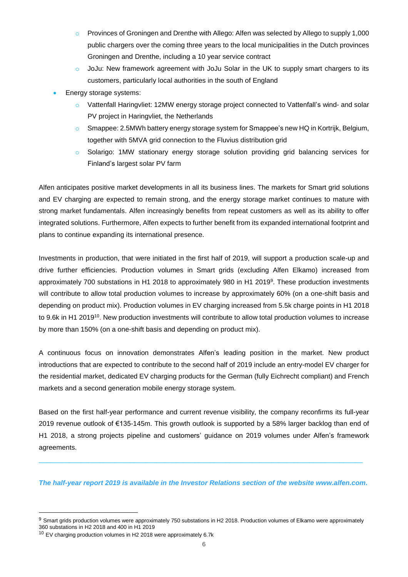- o Provinces of Groningen and Drenthe with Allego: Alfen was selected by Allego to supply 1,000 public chargers over the coming three years to the local municipalities in the Dutch provinces Groningen and Drenthe, including a 10 year service contract
- JoJu: New framework agreement with JoJu Solar in the UK to supply smart chargers to its customers, particularly local authorities in the south of England
- Energy storage systems:
	- o Vattenfall Haringvliet: 12MW energy storage project connected to Vattenfall's wind- and solar PV project in Haringvliet, the Netherlands
	- o Smappee: 2.5MWh battery energy storage system for Smappee's new HQ in Kortrijk, Belgium, together with 5MVA grid connection to the Fluvius distribution grid
	- Solarigo: 1MW stationary energy storage solution providing grid balancing services for Finland's largest solar PV farm

Alfen anticipates positive market developments in all its business lines. The markets for Smart grid solutions and EV charging are expected to remain strong, and the energy storage market continues to mature with strong market fundamentals. Alfen increasingly benefits from repeat customers as well as its ability to offer integrated solutions. Furthermore, Alfen expects to further benefit from its expanded international footprint and plans to continue expanding its international presence.

Investments in production, that were initiated in the first half of 2019, will support a production scale-up and drive further efficiencies. Production volumes in Smart grids (excluding Alfen Elkamo) increased from approximately 700 substations in H1 2018 to approximately 980 in H1 2019<sup>9</sup>. These production investments will contribute to allow total production volumes to increase by approximately 60% (on a one-shift basis and depending on product mix). Production volumes in EV charging increased from 5.5k charge points in H1 2018 to 9.6k in H1 2019<sup>10</sup>. New production investments will contribute to allow total production volumes to increase by more than 150% (on a one-shift basis and depending on product mix).

A continuous focus on innovation demonstrates Alfen's leading position in the market. New product introductions that are expected to contribute to the second half of 2019 include an entry-model EV charger for the residential market, dedicated EV charging products for the German (fully Eichrecht compliant) and French markets and a second generation mobile energy storage system.

Based on the first half-year performance and current revenue visibility, the company reconfirms its full-year 2019 revenue outlook of €135-145m. This growth outlook is supported by a 58% larger backlog than end of H1 2018, a strong projects pipeline and customers' guidance on 2019 volumes under Alfen's framework agreements.

*The half-year report 2019 is available in the Investor Relations section of the website www.alfen.com.*

 $\mathcal{L}_\mathcal{L} = \{ \mathcal{L}_\mathcal{L} = \{ \mathcal{L}_\mathcal{L} = \{ \mathcal{L}_\mathcal{L} = \{ \mathcal{L}_\mathcal{L} = \{ \mathcal{L}_\mathcal{L} = \{ \mathcal{L}_\mathcal{L} = \{ \mathcal{L}_\mathcal{L} = \{ \mathcal{L}_\mathcal{L} = \{ \mathcal{L}_\mathcal{L} = \{ \mathcal{L}_\mathcal{L} = \{ \mathcal{L}_\mathcal{L} = \{ \mathcal{L}_\mathcal{L} = \{ \mathcal{L}_\mathcal{L} = \{ \mathcal{L}_\mathcal{$ 

 $\overline{a}$ 

<sup>&</sup>lt;sup>9</sup> Smart grids production volumes were approximately 750 substations in H2 2018. Production volumes of Elkamo were approximately 360 substations in H2 2018 and 400 in H1 2019

<sup>10</sup> EV charging production volumes in H2 2018 were approximately 6.7k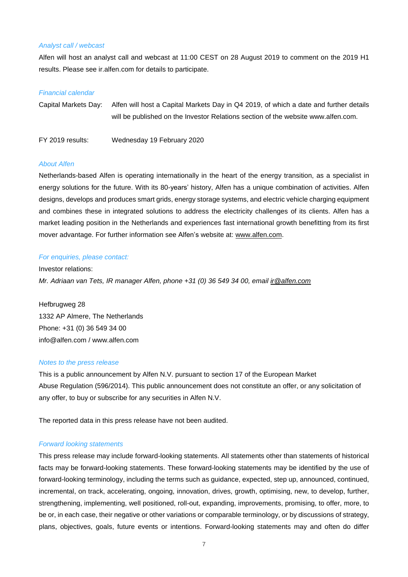#### *Analyst call / webcast*

Alfen will host an analyst call and webcast at 11:00 CEST on 28 August 2019 to comment on the 2019 H1 results. Please see ir.alfen.com for details to participate.

#### *Financial calendar*

Capital Markets Day: Alfen will host a Capital Markets Day in Q4 2019, of which a date and further details will be published on the Investor Relations section of the website www.alfen.com.

FY 2019 results: Wednesday 19 February 2020

#### *About Alfen*

Netherlands-based Alfen is operating internationally in the heart of the energy transition, as a specialist in energy solutions for the future. With its 80-years' history, Alfen has a unique combination of activities. Alfen designs, develops and produces smart grids, energy storage systems, and electric vehicle charging equipment and combines these in integrated solutions to address the electricity challenges of its clients. Alfen has a market leading position in the Netherlands and experiences fast international growth benefitting from its first mover advantage. For further information see Alfen's website at: [www.alfen.com.](http://www.alfen.com/)

#### *For enquiries, please contact:*

Investor relations: *Mr. Adriaan van Tets, IR manager Alfen, phone +31 (0) 36 549 34 00, email [ir@alfen.com](mailto:ir@alfen.com)*

Hefbrugweg 28 1332 AP Almere, The Netherlands Phone: +31 (0) 36 549 34 00 [info@alfen.com](mailto:info@alfen.com) / www.alfen.com

#### *Notes to the press release*

This is a public announcement by Alfen N.V. pursuant to section 17 of the European Market Abuse Regulation (596/2014). This public announcement does not constitute an offer, or any solicitation of any offer, to buy or subscribe for any securities in Alfen N.V.

The reported data in this press release have not been audited.

#### *Forward looking statements*

This press release may include forward-looking statements. All statements other than statements of historical facts may be forward-looking statements. These forward-looking statements may be identified by the use of forward-looking terminology, including the terms such as guidance, expected, step up, announced, continued, incremental, on track, accelerating, ongoing, innovation, drives, growth, optimising, new, to develop, further, strengthening, implementing, well positioned, roll-out, expanding, improvements, promising, to offer, more, to be or, in each case, their negative or other variations or comparable terminology, or by discussions of strategy, plans, objectives, goals, future events or intentions. Forward-looking statements may and often do differ